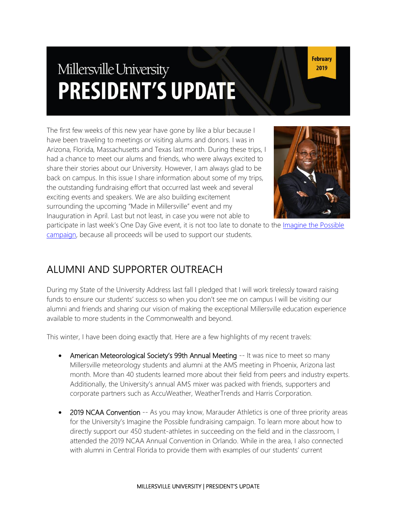# Millersville University **PRESIDENT'S UPDATE**

The first few weeks of this new year have gone by like a blur because I have been traveling to meetings or visiting alums and donors. I was in Arizona, Florida, Massachusetts and Texas last month. During these trips, I had a chance to meet our alums and friends, who were always excited to share their stories about our University. However, I am always glad to be back on campus. In this issue I share information about some of my trips, the outstanding fundraising effort that occurred last week and several exciting events and speakers. We are also building excitement surrounding the upcoming "Made in Millersville" event and my Inauguration in April. Last but not least, in case you were not able to



**February** 

2019

participate in last week's One Day Give event, it is not too late to donate to the [Imagine the Possible](https://imagine.millersville.edu/give/)  [campaign,](https://imagine.millersville.edu/give/) because all proceeds will be used to support our students.

### ALUMNI AND SUPPORTER OUTREACH

During my State of the University Address last fall I pledged that I will work tirelessly toward raising funds to ensure our students' success so when you don't see me on campus I will be visiting our alumni and friends and sharing our vision of making the exceptional Millersville education experience available to more students in the Commonwealth and beyond.

This winter, I have been doing exactly that. Here are a few highlights of my recent travels:

- American Meteorological Society's 99th Annual Meeting -- It was nice to meet so many Millersville meteorology students and alumni at the AMS meeting in Phoenix, Arizona last month. More than 40 students learned more about their field from peers and industry experts. Additionally, the University's annual AMS mixer was packed with friends, supporters and corporate partners such as AccuWeather, WeatherTrends and Harris Corporation.
- **2019 NCAA Convention** -- As you may know, Marauder Athletics is one of three priority areas for the University's Imagine the Possible fundraising campaign. To learn more about how to directly support our 450 student-athletes in succeeding on the field and in the classroom, I attended the 2019 NCAA Annual Convention in Orlando. While in the area, I also connected with alumni in Central Florida to provide them with examples of our students' current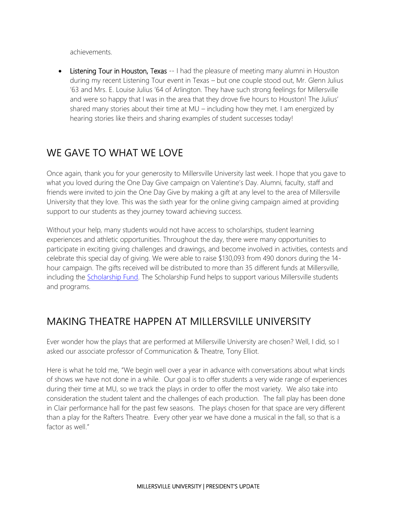achievements.

• Listening Tour in Houston, Texas -- I had the pleasure of meeting many alumni in Houston during my recent Listening Tour event in Texas – but one couple stood out, Mr. Glenn Julius '63 and Mrs. E. Louise Julius '64 of Arlington. They have such strong feelings for Millersville and were so happy that I was in the area that they drove five hours to Houston! The Julius' shared many stories about their time at MU – including how they met. I am energized by hearing stories like theirs and sharing examples of student successes today!

#### WE GAVE TO WHAT WE LOVE

Once again, thank you for your generosity to Millersville University last week. I hope that you gave to what you loved during the One Day Give campaign on Valentine's Day. Alumni, faculty, staff and friends were invited to join the One Day Give by making a gift at any level to the area of Millersville University that they love. This was the sixth year for the online giving campaign aimed at providing support to our students as they journey toward achieving success.

Without your help, many students would not have access to scholarships, student learning experiences and athletic opportunities. Throughout the day, there were many opportunities to participate in exciting giving challenges and drawings, and become involved in activities, contests and celebrate this special day of giving. We were able to raise \$130,093 from 490 donors during the 14 hour campaign. The gifts received will be distributed to more than 35 different funds at Millersville, including the **Scholarship Fund**. The Scholarship Fund helps to support various Millersville students and programs.

### MAKING THEATRE HAPPEN AT MILLERSVILLE UNIVERSITY

Ever wonder how the plays that are performed at Millersville University are chosen? Well, I did, so I asked our associate professor of Communication & Theatre, Tony Elliot.

Here is what he told me, "We begin well over a year in advance with conversations about what kinds of shows we have not done in a while. Our goal is to offer students a very wide range of experiences during their time at MU, so we track the plays in order to offer the most variety. We also take into consideration the student talent and the challenges of each production. The fall play has been done in Clair performance hall for the past few seasons. The plays chosen for that space are very different than a play for the Rafters Theatre. Every other year we have done a musical in the fall, so that is a factor as well."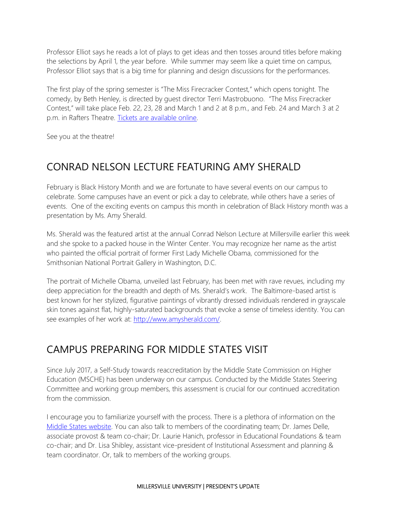Professor Elliot says he reads a lot of plays to get ideas and then tosses around titles before making the selections by April 1, the year before. While summer may seem like a quiet time on campus, Professor Elliot says that is a big time for planning and design discussions for the performances.

The first play of the spring semester is "The Miss Firecracker Contest," which opens tonight. The comedy, by Beth Henley, is directed by guest director Terri Mastrobuono. "The Miss Firecracker Contest," will take place Feb. 22, 23, 28 and March 1 and 2 at 8 p.m., and Feb. 24 and March 3 at 2 p.m. in Rafters Theatre. [Tickets are available online.](https://tickets.vendini.com/ticket-software.html?t=tix&w=c8ec10e73c9b894bef58a28bb9a654e8&vqitq=e45d29be-edcf-4e72-86e2-7aeeaca0562f&vqitp=64c93f39-959d-4961-a906-d199a2916850&vqitts=1549396963&vqitc=vendini&vqite=itl&vqitrt=Safetynet&vqith=437edd7766e524b8c1d174ad50afb667)

See you at the theatre!

### CONRAD NELSON LECTURE FEATURING AMY SHERALD

February is Black History Month and we are fortunate to have several events on our campus to celebrate. Some campuses have an event or pick a day to celebrate, while others have a series of events. One of the exciting events on campus this month in celebration of Black History month was a presentation by Ms. Amy Sherald.

Ms. Sherald was the featured artist at the annual Conrad Nelson Lecture at Millersville earlier this week and she spoke to a packed house in the Winter Center. You may recognize her name as the artist who painted the official portrait of former First Lady Michelle Obama, commissioned for the Smithsonian National Portrait Gallery in Washington, D.C.

The portrait of Michelle Obama, unveiled last February, has been met with rave revues, including my deep appreciation for the breadth and depth of Ms. Sherald's work. The Baltimore-based artist is best known for her stylized, figurative paintings of vibrantly dressed individuals rendered in grayscale skin tones against flat, highly-saturated backgrounds that evoke a sense of timeless identity. You can see examples of her work at: [http://www.amysherald.com/.](http://www.amysherald.com/)

### CAMPUS PREPARING FOR MIDDLE STATES VISIT

Since July 2017, a Self-Study towards reaccreditation by the Middle State Commission on Higher Education (MSCHE) has been underway on our campus. Conducted by the Middle States Steering Committee and working group members, this assessment is crucial for our continued accreditation from the commission.

I encourage you to familiarize yourself with the process. There is a plethora of information on the [Middle States website.](https://www.millersville.edu/rediscovermu/index.php) You can also talk to members of the coordinating team; Dr. James Delle, associate provost & team co-chair; Dr. Laurie Hanich, professor in Educational Foundations & team co-chair; and Dr. Lisa Shibley, assistant vice-president of Institutional Assessment and planning & team coordinator. Or, talk to members of the working groups.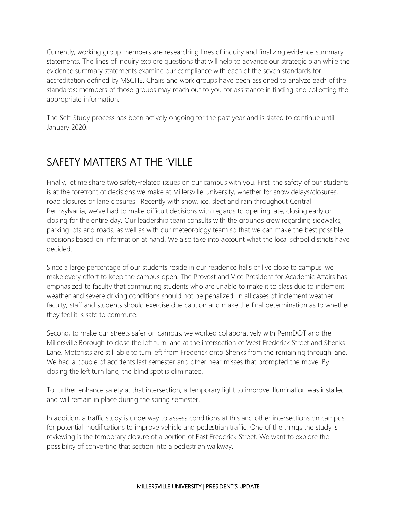Currently, working group members are researching lines of inquiry and finalizing evidence summary statements. The lines of inquiry explore questions that will help to advance our strategic plan while the evidence summary statements examine our compliance with each of the seven standards for accreditation defined by MSCHE. Chairs and work groups have been assigned to analyze each of the standards; members of those groups may reach out to you for assistance in finding and collecting the appropriate information.

The Self-Study process has been actively ongoing for the past year and is slated to continue until January 2020.

## SAFETY MATTERS AT THE 'VILLE

Finally, let me share two safety-related issues on our campus with you. First, the safety of our students is at the forefront of decisions we make at Millersville University, whether for snow delays/closures, road closures or lane closures. Recently with snow, ice, sleet and rain throughout Central Pennsylvania, we've had to make difficult decisions with regards to opening late, closing early or closing for the entire day. Our leadership team consults with the grounds crew regarding sidewalks, parking lots and roads, as well as with our meteorology team so that we can make the best possible decisions based on information at hand. We also take into account what the local school districts have decided.

Since a large percentage of our students reside in our residence halls or live close to campus, we make every effort to keep the campus open. The Provost and Vice President for Academic Affairs has emphasized to faculty that commuting students who are unable to make it to class due to inclement weather and severe driving conditions should not be penalized. In all cases of inclement weather faculty, staff and students should exercise due caution and make the final determination as to whether they feel it is safe to commute.

Second, to make our streets safer on campus, we worked collaboratively with PennDOT and the Millersville Borough to close the left turn lane at the intersection of West Frederick Street and Shenks Lane. Motorists are still able to turn left from Frederick onto Shenks from the remaining through lane. We had a couple of accidents last semester and other near misses that prompted the move. By closing the left turn lane, the blind spot is eliminated.

To further enhance safety at that intersection, a temporary light to improve illumination was installed and will remain in place during the spring semester.

In addition, a traffic study is underway to assess conditions at this and other intersections on campus for potential modifications to improve vehicle and pedestrian traffic. One of the things the study is reviewing is the temporary closure of a portion of East Frederick Street. We want to explore the possibility of converting that section into a pedestrian walkway.